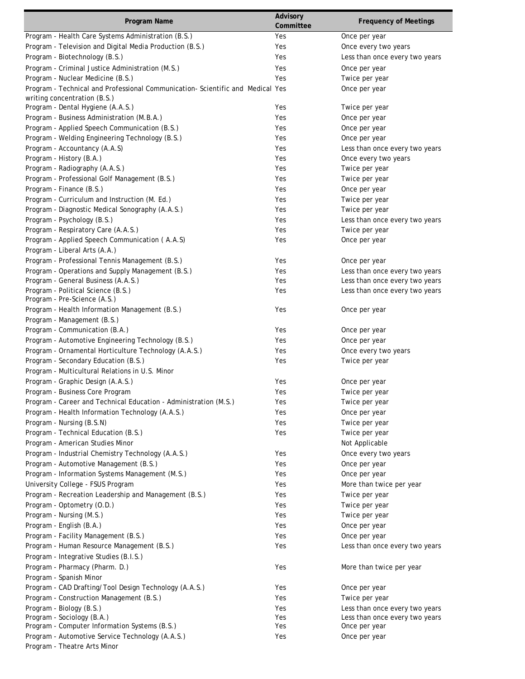| Program Name                                                                  | Advisory  | <b>Frequency of Meetings</b>   |
|-------------------------------------------------------------------------------|-----------|--------------------------------|
|                                                                               | Committee |                                |
| Program - Health Care Systems Administration (B.S.)                           | Yes       | Once per year                  |
| Program - Television and Digital Media Production (B.S.)                      | Yes       | Once every two years           |
| Program - Biotechnology (B.S.)                                                | Yes       | Less than once every two years |
| Program - Criminal Justice Administration (M.S.)                              | Yes       | Once per year                  |
| Program - Nuclear Medicine (B.S.)                                             | Yes       | Twice per year                 |
| Program - Technical and Professional Communication-Scientific and Medical Yes |           | Once per year                  |
| writing concentration (B.S.)                                                  |           |                                |
| Program - Dental Hygiene (A.A.S.)                                             | Yes       | Twice per year                 |
| Program - Business Administration (M.B.A.)                                    | Yes       | Once per year                  |
| Program - Applied Speech Communication (B.S.)                                 | Yes       | Once per year                  |
| Program - Welding Engineering Technology (B.S.)                               | Yes       | Once per year                  |
| Program - Accountancy (A.A.S)                                                 | Yes       | Less than once every two years |
| Program - History (B.A.)                                                      | Yes       | Once every two years           |
| Program - Radiography (A.A.S.)                                                | Yes       | Twice per year                 |
| Program - Professional Golf Management (B.S.)                                 | Yes       | Twice per year                 |
| Program - Finance (B.S.)                                                      | Yes       | Once per year                  |
| Program - Curriculum and Instruction (M. Ed.)                                 | Yes       | Twice per year                 |
| Program - Diagnostic Medical Sonography (A.A.S.)                              | Yes       | Twice per year                 |
| Program - Psychology (B.S.)                                                   | Yes       | Less than once every two years |
| Program - Respiratory Care (A.A.S.)                                           | Yes       | Twice per year                 |
| Program - Applied Speech Communication (A.A.S)                                | Yes       | Once per year                  |
| Program - Liberal Arts (A.A.)                                                 |           |                                |
| Program - Professional Tennis Management (B.S.)                               | Yes       | Once per year                  |
| Program - Operations and Supply Management (B.S.)                             | Yes       | Less than once every two years |
| Program - General Business (A.A.S.)                                           | Yes       | Less than once every two years |
| Program - Political Science (B.S.)                                            | Yes       | Less than once every two years |
| Program - Pre-Science (A.S.)                                                  |           |                                |
| Program - Health Information Management (B.S.)                                | Yes       | Once per year                  |
| Program - Management (B.S.)                                                   |           |                                |
| Program - Communication (B.A.)                                                | Yes       | Once per year                  |
| Program - Automotive Engineering Technology (B.S.)                            | Yes       | Once per year                  |
| Program - Ornamental Horticulture Technology (A.A.S.)                         | Yes       | Once every two years           |
| Program - Secondary Education (B.S.)                                          | Yes       | Twice per year                 |
| Program - Multicultural Relations in U.S. Minor                               |           |                                |
| Program - Graphic Design (A.A.S.)                                             | Yes       | Once per year                  |
| Program - Business Core Program                                               | Yes       | Twice per year                 |
| Program - Career and Technical Education - Administration (M.S.)              | Yes       | Twice per year                 |
| Program - Health Information Technology (A.A.S.)                              | Yes       | Once per year                  |
| Program - Nursing (B.S.N)                                                     | Yes       | Twice per year                 |
| Program - Technical Education (B.S.)                                          | Yes       | Twice per year                 |
| Program - American Studies Minor                                              |           | Not Applicable                 |
| Program - Industrial Chemistry Technology (A.A.S.)                            | Yes       | Once every two years           |
| Program - Automotive Management (B.S.)                                        | Yes       | Once per year                  |
| Program - Information Systems Management (M.S.)                               | Yes       | Once per year                  |
| University College - FSUS Program                                             | Yes       | More than twice per year       |
| Program - Recreation Leadership and Management (B.S.)                         | Yes       | Twice per year                 |
| Program - Optometry (O.D.)                                                    | Yes       | Twice per year                 |
| Program - Nursing (M.S.)                                                      | Yes       | Twice per year                 |
| Program - English (B.A.)                                                      | Yes       | Once per year                  |
| Program - Facility Management (B.S.)                                          | Yes       | Once per year                  |
| Program - Human Resource Management (B.S.)                                    | Yes       | Less than once every two years |
| Program - Integrative Studies (B.I.S.)                                        |           |                                |
| Program - Pharmacy (Pharm. D.)                                                | Yes       | More than twice per year       |
| Program - Spanish Minor                                                       |           |                                |
| Program - CAD Drafting/Tool Design Technology (A.A.S.)                        | Yes       | Once per year                  |
| Program - Construction Management (B.S.)                                      | Yes       | Twice per year                 |
| Program - Biology (B.S.)                                                      | Yes       | Less than once every two years |
| Program - Sociology (B.A.)                                                    | Yes       | Less than once every two years |
| Program - Computer Information Systems (B.S.)                                 | Yes       | Once per year                  |
| Program - Automotive Service Technology (A.A.S.)                              | Yes       | Once per year                  |
| Program - Theatre Arts Minor                                                  |           |                                |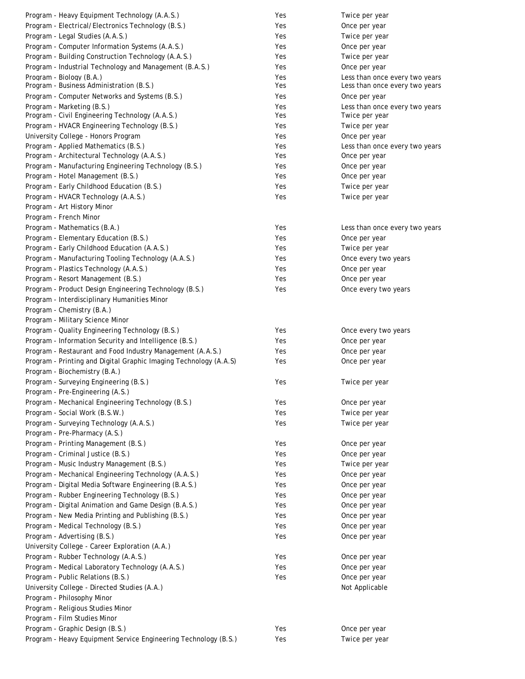| Program - Heavy Equipment Technology (A.A.S.)                                 | Yes        | Twice per year                   |
|-------------------------------------------------------------------------------|------------|----------------------------------|
| Program - Electrical/Electronics Technology (B.S.)                            | Yes        | Once per year                    |
| Program - Legal Studies (A.A.S.)                                              | Yes        | Twice per year                   |
| Program - Computer Information Systems (A.A.S.)                               | Yes        | Once per year                    |
| Program - Building Construction Technology (A.A.S.)                           | Yes        | Twice per year                   |
| Program - Industrial Technology and Management (B.A.S.)                       | Yes        | Once per year                    |
| Program - Biology (B.A.)                                                      | Yes        | Less than once every two years   |
| Program - Business Administration (B.S.)                                      | Yes        | Less than once every two years   |
| Program - Computer Networks and Systems (B.S.)                                | Yes        | Once per year                    |
| Program - Marketing (B.S.)<br>Program - Civil Engineering Technology (A.A.S.) | Yes<br>Yes | Less than once every two years   |
| Program - HVACR Engineering Technology (B.S.)                                 | Yes        | Twice per year<br>Twice per year |
| University College - Honors Program                                           | Yes        | Once per year                    |
| Program - Applied Mathematics (B.S.)                                          | Yes        | Less than once every two years   |
| Program - Architectural Technology (A.A.S.)                                   | Yes        | Once per year                    |
| Program - Manufacturing Engineering Technology (B.S.)                         | Yes        | Once per year                    |
| Program - Hotel Management (B.S.)                                             | Yes        | Once per year                    |
| Program - Early Childhood Education (B.S.)                                    | Yes        | Twice per year                   |
| Program - HVACR Technology (A.A.S.)                                           | Yes        | Twice per year                   |
| Program - Art History Minor                                                   |            |                                  |
| Program - French Minor                                                        |            |                                  |
| Program - Mathematics (B.A.)                                                  | Yes        | Less than once every two years   |
| Program - Elementary Education (B.S.)                                         | Yes        | Once per year                    |
| Program - Early Childhood Education (A.A.S.)                                  | Yes        | Twice per year                   |
| Program - Manufacturing Tooling Technology (A.A.S.)                           | Yes        | Once every two years             |
| Program - Plastics Technology (A.A.S.)                                        | Yes        | Once per year                    |
| Program - Resort Management (B.S.)                                            | Yes        | Once per year                    |
| Program - Product Design Engineering Technology (B.S.)                        | Yes        | Once every two years             |
| Program - Interdisciplinary Humanities Minor                                  |            |                                  |
| Program - Chemistry (B.A.)                                                    |            |                                  |
| Program - Military Science Minor                                              |            |                                  |
| Program - Quality Engineering Technology (B.S.)                               | Yes        | Once every two years             |
| Program - Information Security and Intelligence (B.S.)                        | Yes        | Once per year                    |
| Program - Restaurant and Food Industry Management (A.A.S.)                    | Yes        | Once per year                    |
| Program - Printing and Digital Graphic Imaging Technology (A.A.S)             | Yes        | Once per year                    |
| Program - Biochemistry (B.A.)                                                 |            |                                  |
| Program - Surveying Engineering (B.S.)                                        | Yes        | Twice per year                   |
| Program - Pre-Engineering (A.S.)                                              |            |                                  |
| Program - Mechanical Engineering Technology (B.S.)                            | Yes        | Once per year                    |
| Program - Social Work (B.S.W.)                                                | Yes        | Twice per year                   |
| Program - Surveying Technology (A.A.S.)                                       | Yes        | Twice per year                   |
| Program - Pre-Pharmacy (A.S.)                                                 |            |                                  |
| Program - Printing Management (B.S.)                                          | Yes        | Once per year                    |
| Program - Criminal Justice (B.S.)                                             | Yes        | Once per year                    |
| Program - Music Industry Management (B.S.)                                    | Yes        | Twice per year                   |
| Program - Mechanical Engineering Technology (A.A.S.)                          | Yes        | Once per year                    |
| Program - Digital Media Software Engineering (B.A.S.)                         | Yes        | Once per year                    |
| Program - Rubber Engineering Technology (B.S.)                                | Yes        | Once per year                    |
| Program - Digital Animation and Game Design (B.A.S.)                          | Yes        | Once per year                    |
| Program - New Media Printing and Publishing (B.S.)                            | Yes        | Once per year                    |
| Program - Medical Technology (B.S.)                                           | Yes        | Once per year                    |
| Program - Advertising (B.S.)                                                  | Yes        | Once per year                    |
| University College - Career Exploration (A.A.)                                |            |                                  |
| Program - Rubber Technology (A.A.S.)                                          | Yes        | Once per year                    |
| Program - Medical Laboratory Technology (A.A.S.)                              | Yes        | Once per year                    |
| Program - Public Relations (B.S.)                                             | Yes        | Once per year                    |
| University College - Directed Studies (A.A.)                                  |            | Not Applicable                   |
| Program - Philosophy Minor                                                    |            |                                  |
| Program - Religious Studies Minor                                             |            |                                  |
| Program - Film Studies Minor                                                  |            |                                  |
| Program - Graphic Design (B.S.)                                               | Yes        | Once per year                    |
| Program - Heavy Equipment Service Engineering Technology (B.S.)               | Yes        | Twice per year                   |
|                                                                               |            |                                  |